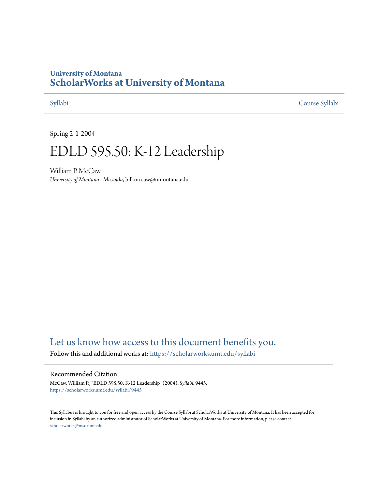## **University of Montana [ScholarWorks at University of Montana](https://scholarworks.umt.edu?utm_source=scholarworks.umt.edu%2Fsyllabi%2F9445&utm_medium=PDF&utm_campaign=PDFCoverPages)**

[Syllabi](https://scholarworks.umt.edu/syllabi?utm_source=scholarworks.umt.edu%2Fsyllabi%2F9445&utm_medium=PDF&utm_campaign=PDFCoverPages) [Course Syllabi](https://scholarworks.umt.edu/course_syllabi?utm_source=scholarworks.umt.edu%2Fsyllabi%2F9445&utm_medium=PDF&utm_campaign=PDFCoverPages)

Spring 2-1-2004

# EDLD 595.50: K-12 Leadership

William P. McCaw *University of Montana - Missoula*, bill.mccaw@umontana.edu

# [Let us know how access to this document benefits you.](https://goo.gl/forms/s2rGfXOLzz71qgsB2)

Follow this and additional works at: [https://scholarworks.umt.edu/syllabi](https://scholarworks.umt.edu/syllabi?utm_source=scholarworks.umt.edu%2Fsyllabi%2F9445&utm_medium=PDF&utm_campaign=PDFCoverPages)

#### Recommended Citation

McCaw, William P., "EDLD 595.50: K-12 Leadership" (2004). *Syllabi*. 9445. [https://scholarworks.umt.edu/syllabi/9445](https://scholarworks.umt.edu/syllabi/9445?utm_source=scholarworks.umt.edu%2Fsyllabi%2F9445&utm_medium=PDF&utm_campaign=PDFCoverPages)

This Syllabus is brought to you for free and open access by the Course Syllabi at ScholarWorks at University of Montana. It has been accepted for inclusion in Syllabi by an authorized administrator of ScholarWorks at University of Montana. For more information, please contact [scholarworks@mso.umt.edu](mailto:scholarworks@mso.umt.edu).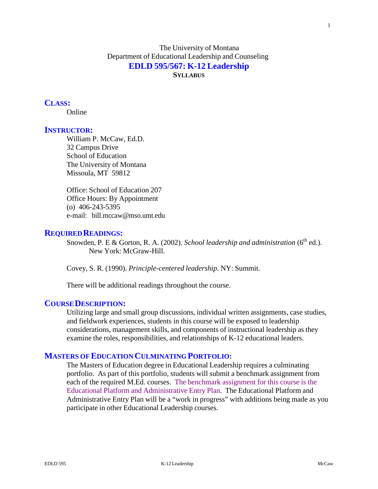The University of Montana Department of Educational Leadership and Counseling **EDLD 595/567: K-12 Leadership SYLLABUS**

#### **CLASS:**

Online

#### **INSTRUCTOR:**

William P. McCaw, Ed.D. 32 Campus Drive School of Education The University of Montana Missoula, MT 59812

Office: School of Education 207 Office Hours: By Appointment (o) 406-243-5395 e-mail: [bill.mccaw@mso.umt.edu](mailto:bill.mccaw@mso.umt.edu)

#### **REQUIRED READINGS:**

Snowden, P. E & Gorton, R. A. (2002). *School leadership and administration* (6<sup>th</sup> ed.). New York: McGraw-Hill.

Covey, S. R. (1990). *Principle-centered leadership.* NY: Summit.

There will be additional readings throughout the course.

#### **COURSEDESCRIPTION:**

Utilizing large and small group discussions, individual written assignments, case studies, and fieldwork experiences, students in this course will be exposed to leadership considerations, management skills, and components of instructional leadership as they examine the roles, responsibilities, and relationships of K-12 educational leaders.

#### **MASTERS OFEDUCATION CULMINATING PORTFOLIO:**

The Masters of Education degree in Educational Leadership requires a culminating portfolio. As part of this portfolio, students will submit a benchmark assignment from each of the required M.Ed. courses. The benchmark assignment for this course is the Educational Platform and Administrative Entry Plan. The Educational Platform and Administrative Entry Plan will be a "work in progress" with additions being made as you participate in other Educational Leadership courses.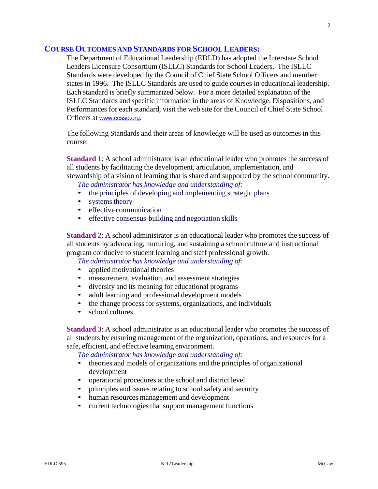#### **COURSEOUTCOMES AND STANDARDS FOR SCHOOL LEADERS:**

The Department of Educational Leadership (EDLD) has adopted the Interstate School Leaders Licensure Consortium (ISLLC) Standards for School Leaders. The ISLLC Standards were developed by the Council of Chief State School Officers and member states in 1996. The ISLLC Standards are used to guide courses in educational leadership. Each standard is briefly summarized below. For a more detailed explanation of the ISLLC Standards and specific information in the areas of Knowledge, Dispositions, and Performances for each standard, visit the web site for the Council of Chief State School Officers at [www.ccsso.org.](http://www.ccsso.org/)

The following Standards and their areas of knowledge will be used as outcomes in this course:

**Standard 1**: A school administrator is an educational leader who promotes the success of all students by facilitating the development, articulation, implementation, and stewardship of a vision of learning that is shared and supported by the school community.

*The administrator has knowledge and understanding of:*

- the principles of developing and implementing strategic plans
- systems theory
- effective communication
- effective consensus-building and negotiation skills

**Standard 2**: A school administrator is an educational leader who promotes the success of all students by advocating, nurturing, and sustaining a school culture and instructional program conducive to student learning and staff professional growth.

*The administrator has knowledge and understanding of:*

- applied motivational theories
- measurement, evaluation, and assessment strategies
- diversity and its meaning for educational programs
- adult learning and professional development models
- the change process for systems, organizations, and individuals
- school cultures

**Standard 3**: A school administrator is an educational leader who promotes the success of all students by ensuring management of the organization, operations, and resources for a safe, efficient, and effective learning environment.

*The administrator has knowledge and understanding of:*

- theories and models of organizations and the principles of organizational development
- operational procedures at the school and district level
- principles and issues relating to school safety and security
- human resources management and development
- current technologies that support management functions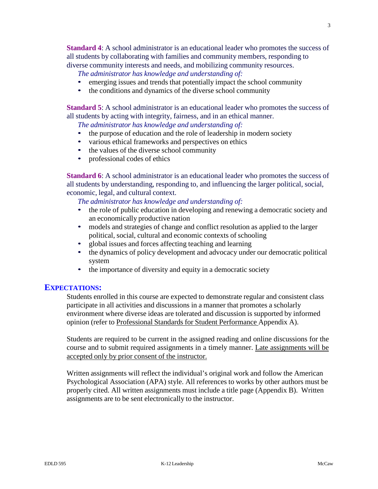**Standard 4**: A school administrator is an educational leader who promotes the success of all students by collaborating with families and community members, responding to diverse community interests and needs, and mobilizing community resources.

*The administrator has knowledge and understanding of:*

- emerging issues and trends that potentially impact the school community
- the conditions and dynamics of the diverse school community

**Standard** 5: A school administrator is an educational leader who promotes the success of all students by acting with integrity, fairness, and in an ethical manner.

*The administrator has knowledge and understanding of:*

- the purpose of education and the role of leadership in modern society
- various ethical frameworks and perspectives on ethics
- the values of the diverse school community
- professional codes of ethics

**Standard** 6: A school administrator is an educational leader who promotes the success of all students by understanding, responding to, and influencing the larger political, social, economic, legal, and cultural context.

*The administrator has knowledge and understanding of:*

- the role of public education in developing and renewing a democratic society and an economically productive nation
- models and strategies of change and conflict resolution as applied to the larger political, social, cultural and economic contexts of schooling
- global issues and forces affecting teaching and learning
- the dynamics of policy development and advocacy under our democratic political system
- the importance of diversity and equity in a democratic society

#### **EXPECTATIONS:**

Students enrolled in this course are expected to demonstrate regular and consistent class participate in all activities and discussions in a manner that promotes a scholarly environment where diverse ideas are tolerated and discussion is supported by informed opinion (refer to Professional Standards for Student Performance Appendix A).

Students are required to be current in the assigned reading and online discussions for the course and to submit required assignments in a timely manner. Late assignments will be accepted only by prior consent of the instructor.

Written assignments will reflect the individual's original work and follow the American Psychological Association (APA) style. All references to works by other authors must be properly cited. All written assignments must include a title page (Appendix B). Written assignments are to be sent electronically to the instructor.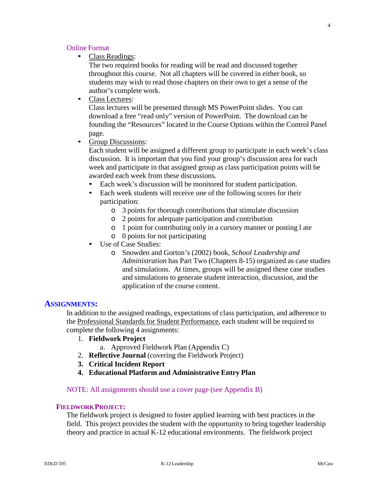#### Online Format

• Class Readings:

The two required books for reading will be read and discussed together throughout this course. Not all chapters will be covered in either book, so students may wish to read those chapters on their own to get a sense of the author's complete work.

• Class Lectures:

Class lectures will be presented through MS PowerPoint slides. You can download a free "read only" version of PowerPoint. The download can be founding the "Resources" located in the Course Options within the Control Panel page.

• Group Discussions:

Each student will be assigned a different group to participate in each week's class discussion. It is important that you find your group's discussion area for each week and participate in that assigned group as class participation points will be awarded each week from these discussions.

- Each week's discussion will be monitored for student participation.
- Each week students will receive one of the following scores for their participation:
	- o 3 points for thorough contributions that stimulate discussion
	- o 2 points for adequate participation and contribution
	- o 1 point for contributing only in a cursory manner or posting l ate
	- o 0 points for not participating
- Use of Case Studies:
	- o Snowden and Gorton's (2002) book, *School Leadership and Administration* has Part Two (Chapters 8-15) organized as case studies and simulations. At times, groups will be assigned these case studies and simulations to generate student interaction, discussion, and the application of the course content.

#### **ASSIGNMENTS:**

In addition to the assigned readings, expectations of class participation, and adherence to the Professional Standards for Student Performance, each student will be required to complete the following 4 assignments:

- 1. **Fieldwork Project**
	- a. Approved Fieldwork Plan (Appendix C)
- 2. **Reflective Journal** (covering the Fieldwork Project)
- **3. Critical Incident Report**
- **4. Educational Platform and Administrative Entry Plan**

#### NOTE: All assignments should use a cover page (see Appendix B)

#### **FIELDWORKPROJECT:**

The fieldwork project is designed to foster applied learning with best practices in the field. This project provides the student with the opportunity to bring together leadership theory and practice in actual K-12 educational environments. The fieldwork project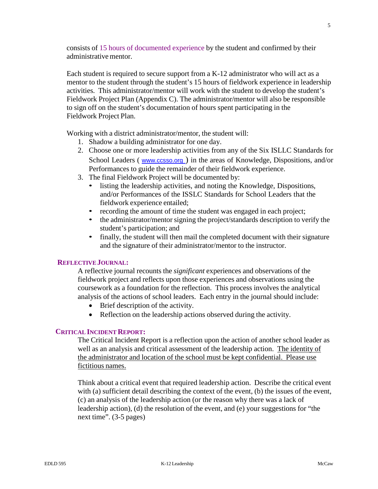consists of 15 hours of documented experience by the student and confirmed by their administrative mentor.

Each student is required to secure support from a K-12 administrator who will act as a mentor to the student through the student's 15 hours of fieldwork experience in leadership activities. This administrator/mentor will work with the student to develop the student's Fieldwork Project Plan (Appendix C). The administrator/mentor will also be responsible to sign off on the student's documentation of hours spent participating in the Fieldwork Project Plan.

Working with a district administrator/mentor, the student will:

- 1. Shadow a building administrator for one day.
- 2. Choose one or more leadership activities from any of the Six ISLLC Standards for School Leaders ( [www.ccsso.org](http://www.ccsso.org/) ) in the areas of Knowledge, Dispositions, and/or Performances to guide the remainder of their fieldwork experience.
- 3. The final Fieldwork Project will be documented by:
	- listing the leadership activities, and noting the Knowledge, Dispositions, and/or Performances of the ISSLC Standards for School Leaders that the fieldwork experience entailed;
	- recording the amount of time the student was engaged in each project;
	- the administrator/mentor signing the project/standards description to verify the student's participation; and
	- finally, the student will then mail the completed document with their signature and the signature of their administrator/mentor to the instructor.

#### **REFLECTIVEJOURNAL:**

A reflective journal recounts the *significant* experiences and observations of the fieldwork project and reflects upon those experiences and observations using the coursework as a foundation for the reflection. This process involves the analytical analysis of the actions of school leaders. Each entry in the journal should include:

- Brief description of the activity.
- Reflection on the leadership actions observed during the activity.

#### **CRITICAL INCIDENT REPORT:**

The Critical Incident Report is a reflection upon the action of another school leader as well as an analysis and critical assessment of the leadership action. The identity of the administrator and location of the school must be kept confidential. Please use fictitious names.

Think about a critical event that required leadership action. Describe the critical event with (a) sufficient detail describing the context of the event, (b) the issues of the event, (c) an analysis of the leadership action (or the reason why there was a lack of leadership action), (d) the resolution of the event, and (e) your suggestions for "the next time". (3-5 pages)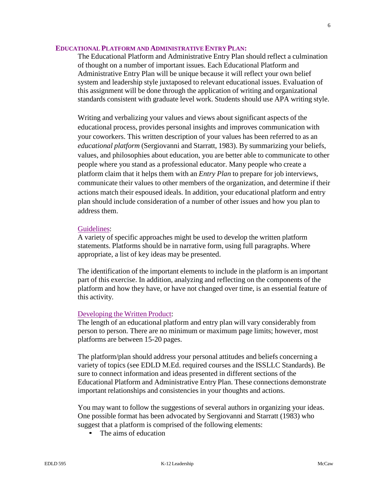#### **EDUCATIONAL PLATFORM AND ADMINISTRATIVE ENTRY PLAN:**

The Educational Platform and Administrative Entry Plan should reflect a culmination of thought on a number of important issues. Each Educational Platform and Administrative Entry Plan will be unique because it will reflect your own belief system and leadership style juxtaposed to relevant educational issues. Evaluation of this assignment will be done through the application of writing and organizational standards consistent with graduate level work. Students should use APA writing style.

Writing and verbalizing your values and views about significant aspects of the educational process, provides personal insights and improves communication with your coworkers. This written description of your values has been referred to as an *educational platform* (Sergiovanni and Starratt, 1983). By summarizing your beliefs, values, and philosophies about education, you are better able to communicate to other people where you stand as a professional educator. Many people who create a platform claim that it helps them with an *Entry Plan* to prepare for job interviews, communicate their values to other members of the organization, and determine if their actions match their espoused ideals. In addition, your educational platform and entry plan should include consideration of a number of other issues and how you plan to address them.

#### Guidelines:

A variety of specific approaches might be used to develop the written platform statements. Platforms should be in narrative form, using full paragraphs. Where appropriate, a list of key ideas may be presented.

The identification of the important elements to include in the platform is an important part of this exercise. In addition, analyzing and reflecting on the components of the platform and how they have, or have not changed over time, is an essential feature of this activity.

#### Developing the Written Product:

The length of an educational platform and entry plan will vary considerably from person to person. There are no minimum or maximum page limits; however, most platforms are between 15-20 pages.

The platform/plan should address your personal attitudes and beliefs concerning a variety of topics (see EDLD M.Ed. required courses and the ISSLLC Standards). Be sure to connect information and ideas presented in different sections of the Educational Platform and Administrative Entry Plan. These connections demonstrate important relationships and consistencies in your thoughts and actions.

You may want to follow the suggestions of several authors in organizing your ideas. One possible format has been advocated by Sergiovanni and Starratt (1983) who suggest that a platform is comprised of the following elements:

• The aims of education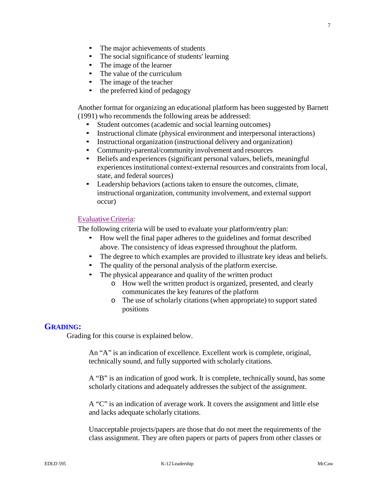- 
- The major achievements of students<br>• The social significance of students' l The social significance of students' learning
- The image of the learner
- The value of the curriculum
- The image of the teacher
- the preferred kind of pedagogy

Another format for organizing an educational platform has been suggested by Barnett (1991) who recommends the following areas be addressed:

- Student outcomes (academic and social learning outcomes)
- Instructional climate (physical environment and interpersonal interactions)
- Instructional organization (instructional delivery and organization)
- Community-parental/community involvement and resources
- Beliefs and experiences (significant personal values, beliefs, meaningful experiences institutional context-external resources and constraints from local, state, and federal sources)
- Leadership behaviors (actions taken to ensure the outcomes, climate, instructional organization, community involvement, and external support occur)

#### EvaluativeCriteria:

The following criteria will be used to evaluate your platform/entry plan:

- How well the final paper adheres to the guidelines and format described above. The consistency of ideas expressed throughout the platform.
- The degree to which examples are provided to illustrate key ideas and beliefs.
- The quality of the personal analysis of the platform exercise.
- The physical appearance and quality of the written product
	- o How well the written product is organized, presented, and clearly communicates the key features of the platform
	- o The use of scholarly citations (when appropriate) to support stated positions

#### **GRADING:**

Grading for this course is explained below.

An "A" is an indication of excellence. Excellent work is complete, original, technically sound, and fully supported with scholarly citations.

A "B" is an indication of good work. It is complete, technically sound, has some scholarly citations and adequately addresses the subject of the assignment.

A "C" is an indication of average work. It covers the assignment and little else and lacks adequate scholarly citations.

Unacceptable projects/papers are those that do not meet the requirements of the class assignment. They are often papers or parts of papers from other classes or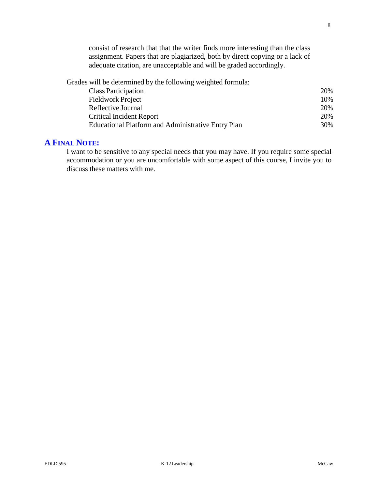consist of research that that the writer finds more interesting than the class assignment. Papers that are plagiarized, both by direct copying or a lack of adequate citation, are unacceptable and will be graded accordingly.

Grades will be determined by the following weighted formula:

| Class Participation                                | 20% |
|----------------------------------------------------|-----|
| <b>Fieldwork Project</b>                           | 10% |
| Reflective Journal                                 | 20% |
| <b>Critical Incident Report</b>                    | 20% |
| Educational Platform and Administrative Entry Plan | 30% |

### **A FINAL NOTE:**

I want to be sensitive to any special needs that you may have. If you require some special accommodation or you are uncomfortable with some aspect of this course, I invite you to discuss these matters with me.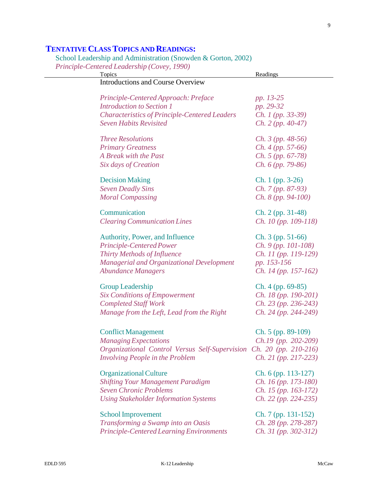9

# **TENTATIVE CLASSTOPICS AND READINGS:**

School Leadership and Administration (Snowden & Gorton, 2002)

*Principle-Centered Leadership (Covey, 1990)*

| Topics                                                              | Readings                         |
|---------------------------------------------------------------------|----------------------------------|
| <b>Introductions and Course Overview</b>                            |                                  |
| Principle-Centered Approach: Preface                                | pp. 13-25                        |
| <b>Introduction to Section 1</b>                                    | pp. 29-32                        |
| <b>Characteristics of Principle-Centered Leaders</b>                | Ch. 1 (pp. 33-39)                |
| <b>Seven Habits Revisited</b>                                       | $Ch. 2 (pp. 40-47)$              |
| <b>Three Resolutions</b>                                            | <i>Ch.</i> 3 ( <i>pp.</i> 48-56) |
| <b>Primary Greatness</b>                                            | $Ch. 4 (pp. 57-66)$              |
| A Break with the Past                                               | $Ch. 5 (pp. 67-78)$              |
| Six days of Creation                                                | $Ch. 6 (pp. 79-86)$              |
| <b>Decision Making</b>                                              | $Ch. 1 (pp. 3-26)$               |
| <b>Seven Deadly Sins</b>                                            | $Ch. 7 (pp. 87-93)$              |
| <b>Moral Compassing</b>                                             | $Ch. 8 (pp. 94-100)$             |
| Communication                                                       | Ch. 2 (pp. 31-48)                |
| <b>Clearing Communication Lines</b>                                 | <i>Ch.</i> 10 (pp. 109-118)      |
| Authority, Power, and Influence                                     | $Ch. 3 (pp. 51-66)$              |
| Principle-Centered Power                                            | $Ch. 9 (pp. 101-108)$            |
| Thirty Methods of Influence                                         | Ch. 11 (pp. 119-129)             |
| <b>Managerial and Organizational Development</b>                    | pp. 153-156                      |
| <b>Abundance Managers</b>                                           | <i>Ch.</i> 14 (pp. 157-162)      |
| <b>Group Leadership</b>                                             | Ch. 4 (pp. 69-85)                |
| <b>Six Conditions of Empowerment</b>                                | <i>Ch.</i> 18 (pp. 190-201)      |
| <b>Completed Staff Work</b>                                         | $Ch. 23 (pp. 236-243)$           |
| Manage from the Left, Lead from the Right                           | $Ch. 24 (pp. 244-249)$           |
| <b>Conflict Management</b>                                          | Ch. 5 (pp. 89-109)               |
| <b>Managing Expectations</b>                                        | $Ch.19$ (pp. 202-209)            |
| Organizational Control Versus Self-Supervision Ch. 20 (pp. 210-216) |                                  |
| Involving People in the Problem                                     | $Ch. 21 (pp. 217-223)$           |
| <b>Organizational Culture</b>                                       | $Ch. 6$ (pp. 113-127)            |
| <b>Shifting Your Management Paradigm</b>                            | <i>Ch. 16 (pp. 173-180)</i>      |
| <b>Seven Chronic Problems</b>                                       | Ch. 15 (pp. 163-172)             |
| <b>Using Stakeholder Information Systems</b>                        | $Ch. 22 (pp. 224-235)$           |
| <b>School Improvement</b>                                           | Ch. 7 (pp. 131-152)              |
| Transforming a Swamp into an Oasis                                  | Ch. 28 (pp. 278-287)             |
| <b>Principle-Centered Learning Environments</b>                     | $Ch. 31 (pp. 302-312)$           |
|                                                                     |                                  |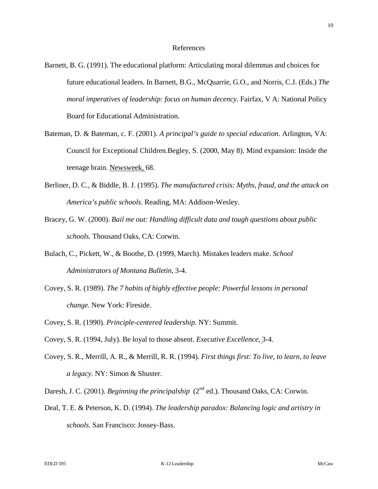10

#### References

- Barnett, B. G. (1991). The educational platform: Articulating moral dilemmas and choices for future educational leaders. In Barnett, B.G., McQuarrie, G.O., and Norris, C.J. (Eds.) *The moral imperatives of leadership: focus on human decency.* Fairfax, V A: National Policy Board for Educational Administration.
- Bateman, D. & Bateman, c. F. (2001). *A principal's guide to special education*. Arlington, VA: Council for Exceptional Children.Begley, S. (2000, May 8). Mind expansion: Inside the teenage brain. Newsweek, 68.
- Berliner, D. C., & Biddle, B. J. (1995). *The manufactured crisis: Myths, fraud, and the attack on America's public schools.* Reading, MA: Addison-Wesley.
- Bracey, G. W. (2000). *Bail me out: Handling difficult data and tough questions about public schools.* Thousand Oaks, CA: Corwin.
- Bulach, C., Pickett, W., & Boothe, D. (1999, March). Mistakes leaders make. *School Administrators of Montana Bulletin*, 3-4.
- Covey, S. R. (1989). *The 7 habits of highly effective people: Powerful lessons in personal change.* New York: Fireside.
- Covey, S. R. (1990). *Principle-centered leadership.* NY: Summit.
- Covey, S. R. (1994, July). Be loyal to those absent. *Executive Excellence*, 3-4.
- Covey, S. R., Merrill, A. R., & Merrill, R. R. (1994). *First things first: To live, to learn, to leave a legacy.* NY: Simon & Shuster.
- Daresh, J. C. (2001). *Beginning the principalship* (2<sup>nd</sup> ed.). Thousand Oaks, CA: Corwin.
- Deal, T. E. & Peterson, K. D. (1994). *The leadership paradox: Balancing logic and artistry in schools.* San Francisco: Jossey-Bass.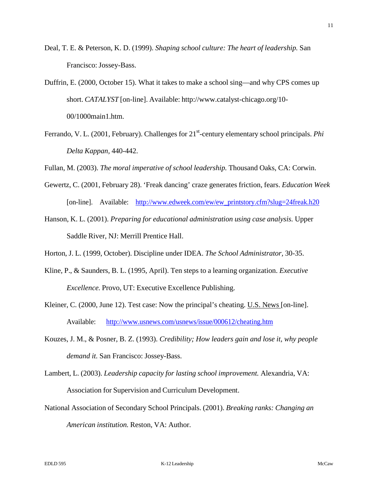- Deal, T. E. & Peterson, K. D. (1999). *Shaping school culture: The heart of leadership.* San Francisco: Jossey-Bass.
- Duffrin, E. (2000, October 15). What it takes to make a school sing—and why CPS comes up short. *CATALYST* [on-line]. Available: <http://www.catalyst-chicago.org/10-> 00/1000main1.htm.
- Ferrando, V. L. (2001, February). Challenges for 21<sup>st</sup>-century elementary school principals. Phi *Delta Kappan,* 440-442.

Fullan, M. (2003). *The moral imperative of school leadership.* Thousand Oaks, CA: Corwin.

- Gewertz, C. (2001, February 28). 'Freak dancing' craze generates friction, fears. *Education Week* [on-line]. Available: [http://www.edweek.com/ew/ew\\_printstory.cfm?slug=24freak.h20](http://www.edweek.com/ew/ew_printstory.cfm?slug=24freak.h20)
- Hanson, K. L. (2001). *Preparing for educational administration using case analysis.* Upper Saddle River, NJ: Merrill Prentice Hall.

Horton, J. L. (1999, October). Discipline under IDEA. *The School Administrator,* 30-35.

- Kline, P., & Saunders, B. L. (1995, April). Ten steps to a learning organization. *Executive Excellence.* Provo, UT: Executive Excellence Publishing.
- Kleiner, C. (2000, June 12). Test case: Now the principal's cheating. U.S. News [on-line]. Available: <http://www.usnews.com/usnews/issue/000612/cheating.htm>
- Kouzes, J. M., & Posner, B. Z. (1993). *Credibility; How leaders gain and lose it, why people demand it.* San Francisco: Jossey-Bass.
- Lambert, L. (2003). *Leadership capacity for lasting school improvement.* Alexandria, VA: Association for Supervision and Curriculum Development.
- National Association of Secondary School Principals. (2001). *Breaking ranks: Changing an American institution.* Reston, VA: Author.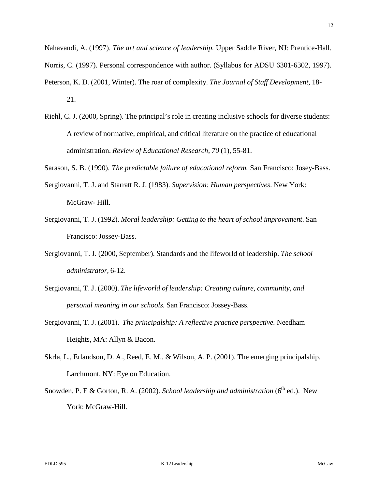Nahavandi, A. (1997). *The art and science of leadership.* Upper Saddle River, NJ: Prentice-Hall. Norris, C. (1997). Personal correspondence with author. (Syllabus for ADSU 6301-6302, 1997). Peterson, K. D. (2001, Winter). The roar of complexity. *The Journal of Staff Development,* 18- 21.

- Riehl, C. J. (2000, Spring). The principal's role in creating inclusive schools for diverse students: A review of normative, empirical, and critical literature on the practice of educational administration. *Review of Educational Research, 70* (1), 55-81.
- Sarason, S. B. (1990). *The predictable failure of educational reform.* San Francisco: Josey-Bass.
- Sergiovanni, T. J. and Starratt R. J. (1983). *Supervision: Human perspectives*. New York: McGraw- Hill.
- Sergiovanni, T. J. (1992). *Moral leadership: Getting to the heart of school improvement*. San Francisco: Jossey-Bass.
- Sergiovanni, T. J. (2000, September). Standards and the lifeworld of leadership. *The school administrator,* 6-12.
- Sergiovanni, T. J. (2000). *The lifeworld of leadership: Creating culture, community, and personal meaning in our schools.* San Francisco: Jossey-Bass.
- Sergiovanni, T. J. (2001). *The principalship: A reflective practice perspective.* Needham Heights, MA: Allyn & Bacon.
- Skrla, L., Erlandson, D. A., Reed, E. M., & Wilson, A. P. (2001). The emerging principalship. Larchmont, NY: Eye on Education.
- Snowden, P. E & Gorton, R. A. (2002). *School leadership and administration* (6<sup>th</sup> ed.). New York: McGraw-Hill.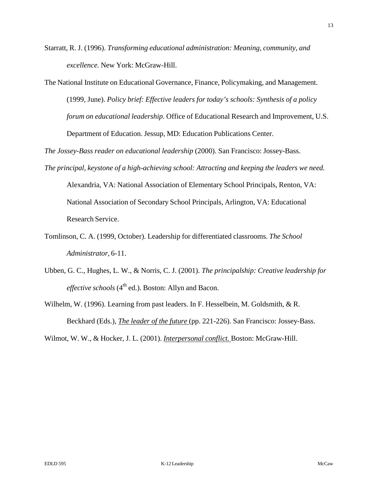Starratt, R. J. (1996). *Transforming educational administration: Meaning, community, and excellence.* New York: McGraw-Hill.

The National Institute on Educational Governance, Finance, Policymaking, and Management. (1999, June). *Policy brief: Effective leaders for today's schools: Synthesis of a policy forum on educational leadership.* Office of Educational Research and Improvement, U.S. Department of Education. Jessup, MD: Education Publications Center.

*The Jossey-Bass reader on educational leadership* (2000). San Francisco: Jossey-Bass.

- *The principal, keystone of a high-achieving school: Attracting and keeping the leaders we need.* Alexandria, VA: National Association of Elementary School Principals, Renton, VA: National Association of Secondary School Principals, Arlington, VA: Educational Research Service.
- Tomlinson, C. A. (1999, October). Leadership for differentiated classrooms. *The School Administrator,* 6-11.
- Ubben, G. C., Hughes, L. W., & Norris, C. J. (2001). *The principalship: Creative leadership for effective schools* (4<sup>th</sup> ed.). Boston: Allyn and Bacon.
- Wilhelm, W. (1996). Learning from past leaders. In F. Hesselbein, M. Goldsmith, & R. Beckhard (Eds.), *The leader of the future* (pp. 221-226). San Francisco: Jossey-Bass.

Wilmot, W. W., & Hocker, J. L. (2001). *Interpersonal conflict.* Boston: McGraw-Hill.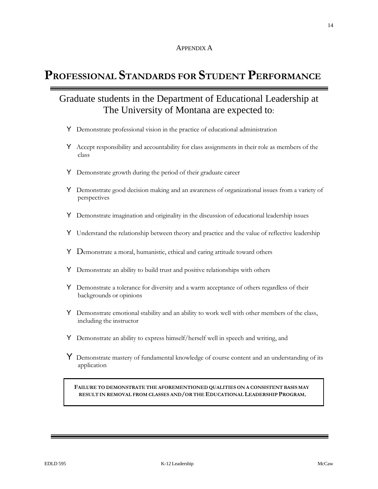# **PROFESSIONAL STANDARDS FOR STUDENT PERFORMANCE**

# Graduate students in the Department of Educational Leadership at The University of Montana are expected to:

- Y Demonstrate professional vision in the practice of educational administration
- Y Accept responsibility and accountability for class assignments in their role as members of the class
- Y Demonstrate growth during the period of their graduate career
- Y Demonstrate good decision making and an awareness of organizational issues from a variety of perspectives
- Y Demonstrate imagination and originality in the discussion of educational leadership issues
- Y Understand the relationship between theory and practice and the value of reflective leadership
- Y Demonstrate a moral, humanistic, ethical and caring attitude toward others
- Y Demonstrate an ability to build trust and positive relationships with others
- Y Demonstrate a tolerance for diversity and a warm acceptance of others regardless of their backgrounds or opinions
- Y Demonstrate emotional stability and an ability to work well with other members of the class, including the instructor
- Y Demonstrate an ability to express himself/herself well in speech and writing, and
- Y Demonstrate mastery of fundamental knowledge of course content and an understanding of its application

**FAILURE TO DEMONSTRATE THE AFOREMENTIONED QUALITIES ON A CONSISTENT BASIS MAY RESULT IN REMOVAL FROM CLASSES AND/OR THE EDUCATIONAL LEADERSHIP PROGRAM**.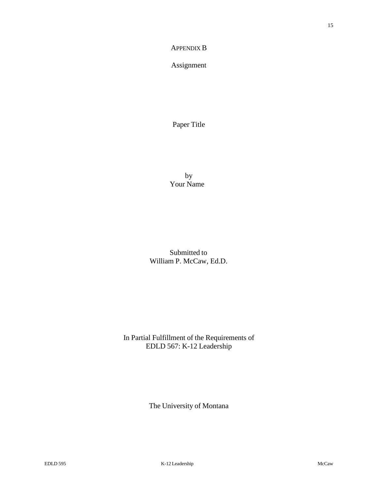#### APPENDIX B

Assignment

Paper Title

by Your Name

Submitted to William P. McCaw, Ed.D.

In Partial Fulfillment of the Requirements of EDLD 567: K-12 Leadership

The University of Montana